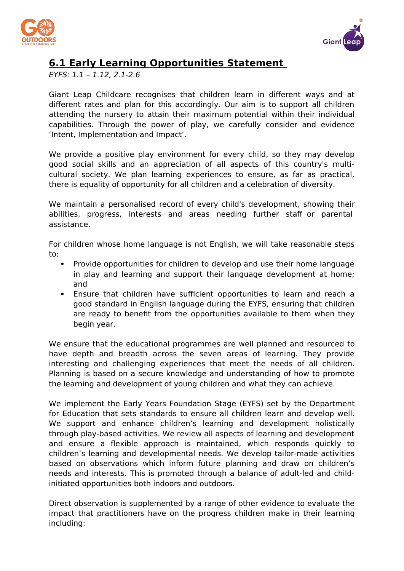



## **6.1 Early Learning Opportunities Statement**

EYFS: 1.1 – 1.12, 2.1-2.6

Giant Leap Childcare recognises that children learn in different ways and at different rates and plan for this accordingly. Our aim is to support all children attending the nursery to attain their maximum potential within their individual capabilities. Through the power of play, we carefully consider and evidence 'Intent, Implementation and Impact'.

We provide a positive play environment for every child, so they may develop good social skills and an appreciation of all aspects of this country's multicultural society. We plan learning experiences to ensure, as far as practical, there is equality of opportunity for all children and a celebration of diversity.

We maintain a personalised record of every child's development, showing their abilities, progress, interests and areas needing further staff or parental assistance.

For children whose home language is not English, we will take reasonable steps to:

- Provide opportunities for children to develop and use their home language in play and learning and support their language development at home; and
- Ensure that children have sufficient opportunities to learn and reach a good standard in English language during the EYFS, ensuring that children are ready to benefit from the opportunities available to them when they begin year.

We ensure that the educational programmes are well planned and resourced to have depth and breadth across the seven areas of learning. They provide interesting and challenging experiences that meet the needs of all children. Planning is based on a secure knowledge and understanding of how to promote the learning and development of young children and what they can achieve.

We implement the Early Years Foundation Stage (EYFS) set by the Department for Education that sets standards to ensure all children learn and develop well. We support and enhance children's learning and development holistically through play-based activities. We review all aspects of learning and development and ensure a flexible approach is maintained, which responds quickly to children's learning and developmental needs. We develop tailor-made activities based on observations which inform future planning and draw on children's needs and interests. This is promoted through a balance of adult-led and childinitiated opportunities both indoors and outdoors.

Direct observation is supplemented by a range of other evidence to evaluate the impact that practitioners have on the progress children make in their learning including: